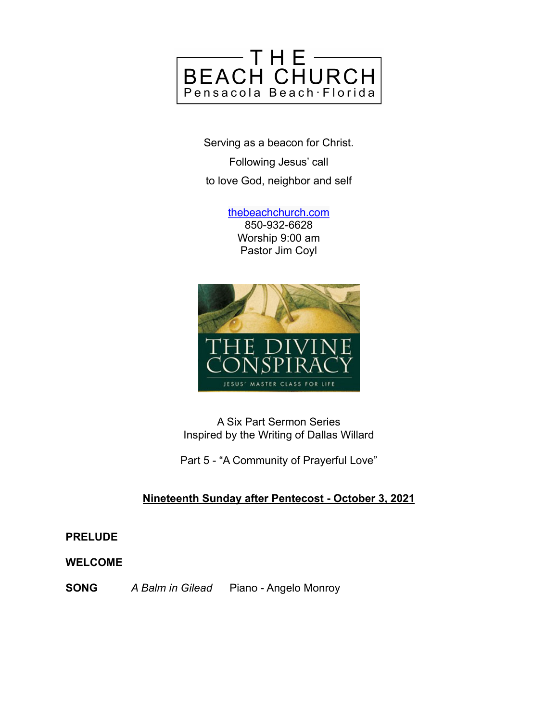

Serving as a beacon for Christ. Following Jesus' call to love God, neighbor and self

> [thebeachchurch.com](http://thebeachchurch.com) 850-932-6628 Worship 9:00 am Pastor Jim Coyl



A Six Part Sermon Series Inspired by the Writing of Dallas Willard

Part 5 - "A Community of Prayerful Love"

# **Nineteenth Sunday after Pentecost - October 3, 2021**

**PRELUDE**

**WELCOME**

**SONG** *A Balm in Gilead* Piano - Angelo Monroy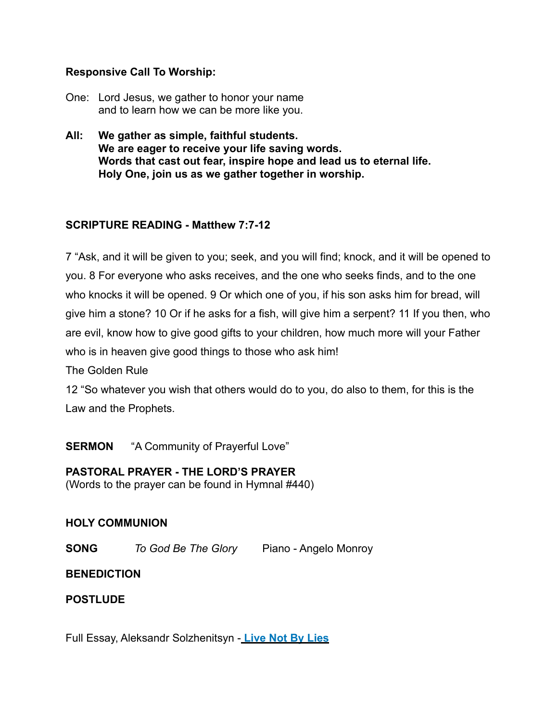### **Responsive Call To Worship:**

- One: Lord Jesus, we gather to honor your name and to learn how we can be more like you.
- **All: We gather as simple, faithful students. We are eager to receive your life saving words. Words that cast out fear, inspire hope and lead us to eternal life. Holy One, join us as we gather together in worship.**

## **SCRIPTURE READING - Matthew 7:7-12**

7 "Ask, and it will be given to you; seek, and you will find; knock, and it will be opened to you. 8 For everyone who asks receives, and the one who seeks finds, and to the one who knocks it will be opened. 9 Or which one of you, if his son asks him for bread, will give him a stone? 10 Or if he asks for a fish, will give him a serpent? 11 If you then, who are evil, know how to give good gifts to your children, how much more will your Father who is in heaven give good things to those who ask him!

The Golden Rule

12 "So whatever you wish that others would do to you, do also to them, for this is the Law and the Prophets.

**SERMON** "A Community of Prayerful Love"

#### **PASTORAL PRAYER - THE LORD'S PRAYER**

(Words to the prayer can be found in Hymnal #440)

#### **HOLY COMMUNION**

**SONG** *To God Be The Glory* Piano - Angelo Monroy

#### **BENEDICTION**

**POSTLUDE**

Full Essay, Aleksandr Solzhenitsyn - **[Live Not By Lies](https://journals.sagepub.com/doi/pdf/10.1080/03064220408537357)**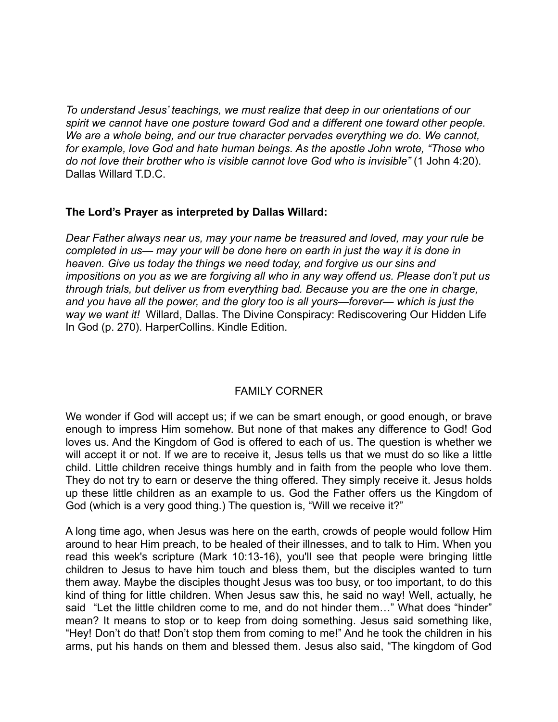*To understand Jesus' teachings, we must realize that deep in our orientations of our spirit we cannot have one posture toward God and a different one toward other people. We are a whole being, and our true character pervades everything we do. We cannot, for example, love God and hate human beings. As the apostle John wrote, "Those who do not love their brother who is visible cannot love God who is invisible"* (1 John 4:20). Dallas Willard T.D.C.

#### **The Lord's Prayer as interpreted by Dallas Willard:**

*Dear Father always near us, may your name be treasured and loved, may your rule be completed in us— may your will be done here on earth in just the way it is done in heaven. Give us today the things we need today, and forgive us our sins and impositions on you as we are forgiving all who in any way offend us. Please don't put us through trials, but deliver us from everything bad. Because you are the one in charge, and you have all the power, and the glory too is all yours—forever— which is just the way we want it!* Willard, Dallas. The Divine Conspiracy: Rediscovering Our Hidden Life In God (p. 270). HarperCollins. Kindle Edition.

#### FAMILY CORNER

We wonder if God will accept us; if we can be smart enough, or good enough, or brave enough to impress Him somehow. But none of that makes any difference to God! God loves us. And the Kingdom of God is offered to each of us. The question is whether we will accept it or not. If we are to receive it, Jesus tells us that we must do so like a little child. Little children receive things humbly and in faith from the people who love them. They do not try to earn or deserve the thing offered. They simply receive it. Jesus holds up these little children as an example to us. God the Father offers us the Kingdom of God (which is a very good thing.) The question is, "Will we receive it?"

A long time ago, when Jesus was here on the earth, crowds of people would follow Him around to hear Him preach, to be healed of their illnesses, and to talk to Him. When you read this week's scripture (Mark 10:13-16), you'll see that people were bringing little children to Jesus to have him touch and bless them, but the disciples wanted to turn them away. Maybe the disciples thought Jesus was too busy, or too important, to do this kind of thing for little children. When Jesus saw this, he said no way! Well, actually, he said "Let the little children come to me, and do not hinder them…" What does "hinder" mean? It means to stop or to keep from doing something. Jesus said something like, "Hey! Don't do that! Don't stop them from coming to me!" And he took the children in his arms, put his hands on them and blessed them. Jesus also said, "The kingdom of God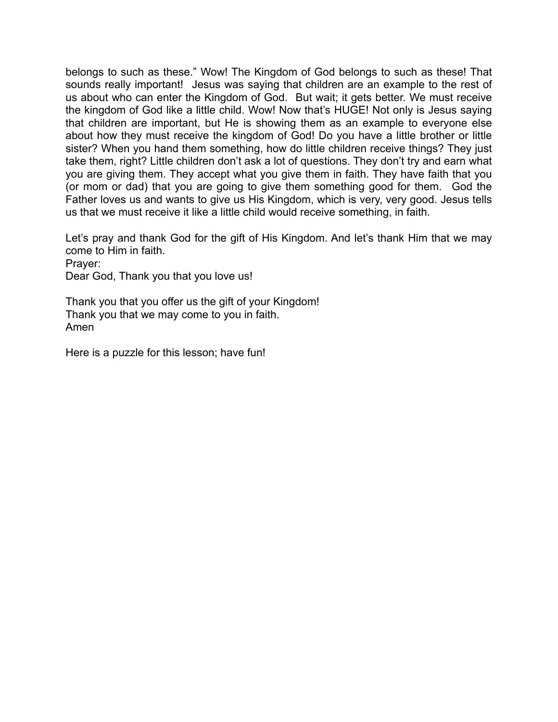belongs to such as these." Wow! The Kingdom of God belongs to such as these! That sounds really important! Jesus was saying that children are an example to the rest of us about who can enter the Kingdom of God. But wait; it gets better. We must receive the kingdom of God like a little child. Wow! Now that's HUGE! Not only is Jesus saying that children are important, but He is showing them as an example to everyone else about how they must receive the kingdom of God! Do you have a little brother or little sister? When you hand them something, how do little children receive things? They just take them, right? Little children don't ask a lot of questions. They don't try and earn what you are giving them. They accept what you give them in faith. They have faith that you (or mom or dad) that you are going to give them something good for them. God the Father loves us and wants to give us His Kingdom, which is very, very good. Jesus tells us that we must receive it like a little child would receive something, in faith.

Let's pray and thank God for the gift of His Kingdom. And let's thank Him that we may come to Him in faith.

Prayer:

Dear God, Thank you that you love us!

Thank you that you offer us the gift of your Kingdom! Thank you that we may come to you in faith. Amen

Here is a puzzle for this lesson; have fun!